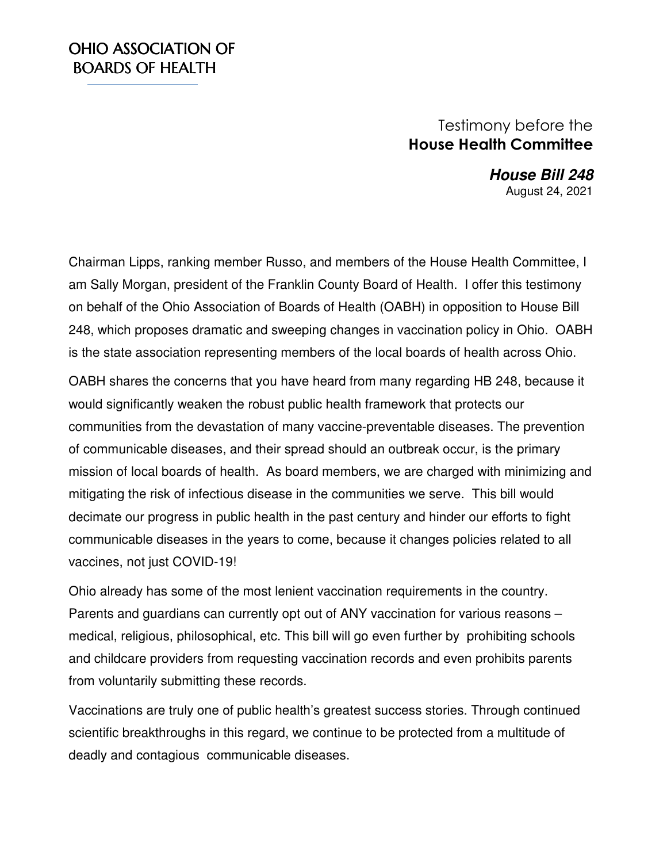## OHIO ASSOCIATION OF **BOARDS OF HEALTH**

## Testimony before the **House Health Committee**

 **House Bill 248**  August 24, 2021

Chairman Lipps, ranking member Russo, and members of the House Health Committee, I am Sally Morgan, president of the Franklin County Board of Health. I offer this testimony on behalf of the Ohio Association of Boards of Health (OABH) in opposition to House Bill 248, which proposes dramatic and sweeping changes in vaccination policy in Ohio. OABH is the state association representing members of the local boards of health across Ohio.

OABH shares the concerns that you have heard from many regarding HB 248, because it would significantly weaken the robust public health framework that protects our communities from the devastation of many vaccine-preventable diseases. The prevention of communicable diseases, and their spread should an outbreak occur, is the primary mission of local boards of health. As board members, we are charged with minimizing and mitigating the risk of infectious disease in the communities we serve. This bill would decimate our progress in public health in the past century and hinder our efforts to fight communicable diseases in the years to come, because it changes policies related to all vaccines, not just COVID-19!

Ohio already has some of the most lenient vaccination requirements in the country. Parents and guardians can currently opt out of ANY vaccination for various reasons – medical, religious, philosophical, etc. This bill will go even further by prohibiting schools and childcare providers from requesting vaccination records and even prohibits parents from voluntarily submitting these records.

Vaccinations are truly one of public health's greatest success stories. Through continued scientific breakthroughs in this regard, we continue to be protected from a multitude of deadly and contagious communicable diseases.